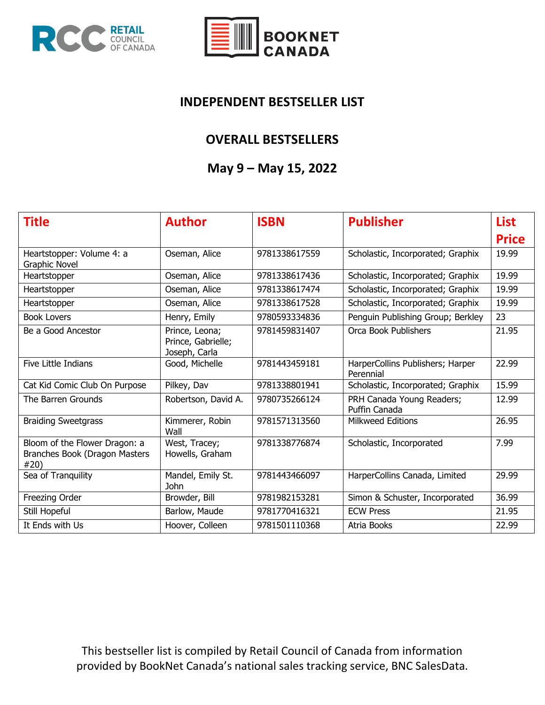



#### **INDEPENDENT BESTSELLER LIST**

#### **OVERALL BESTSELLERS**

### **May 9 – May 15, 2022**

| <b>Title</b>                                                           | <b>Author</b>                                         | <b>ISBN</b>   | <b>Publisher</b>                              | <b>List</b>  |
|------------------------------------------------------------------------|-------------------------------------------------------|---------------|-----------------------------------------------|--------------|
|                                                                        |                                                       |               |                                               | <b>Price</b> |
| Heartstopper: Volume 4: a<br><b>Graphic Novel</b>                      | Oseman, Alice                                         | 9781338617559 | Scholastic, Incorporated; Graphix             | 19.99        |
| Heartstopper                                                           | Oseman, Alice                                         | 9781338617436 | Scholastic, Incorporated; Graphix             | 19.99        |
| Heartstopper                                                           | Oseman, Alice                                         | 9781338617474 | Scholastic, Incorporated; Graphix             | 19.99        |
| Heartstopper                                                           | Oseman, Alice                                         | 9781338617528 | Scholastic, Incorporated; Graphix             | 19.99        |
| <b>Book Lovers</b>                                                     | Henry, Emily                                          | 9780593334836 | Penguin Publishing Group; Berkley             | 23           |
| Be a Good Ancestor                                                     | Prince, Leona;<br>Prince, Gabrielle;<br>Joseph, Carla | 9781459831407 | Orca Book Publishers                          | 21.95        |
| Five Little Indians                                                    | Good, Michelle                                        | 9781443459181 | HarperCollins Publishers; Harper<br>Perennial | 22.99        |
| Cat Kid Comic Club On Purpose                                          | Pilkey, Dav                                           | 9781338801941 | Scholastic, Incorporated; Graphix             | 15.99        |
| The Barren Grounds                                                     | Robertson, David A.                                   | 9780735266124 | PRH Canada Young Readers;<br>Puffin Canada    | 12.99        |
| <b>Braiding Sweetgrass</b>                                             | Kimmerer, Robin<br>Wall                               | 9781571313560 | Milkweed Editions                             | 26.95        |
| Bloom of the Flower Dragon: a<br>Branches Book (Dragon Masters<br>#20) | West, Tracey;<br>Howells, Graham                      | 9781338776874 | Scholastic, Incorporated                      | 7.99         |
| Sea of Tranquility                                                     | Mandel, Emily St.<br><b>John</b>                      | 9781443466097 | HarperCollins Canada, Limited                 | 29.99        |
| Freezing Order                                                         | Browder, Bill                                         | 9781982153281 | Simon & Schuster, Incorporated                | 36.99        |
| Still Hopeful                                                          | Barlow, Maude                                         | 9781770416321 | <b>ECW Press</b>                              | 21.95        |
| It Ends with Us                                                        | Hoover, Colleen                                       | 9781501110368 | Atria Books                                   | 22.99        |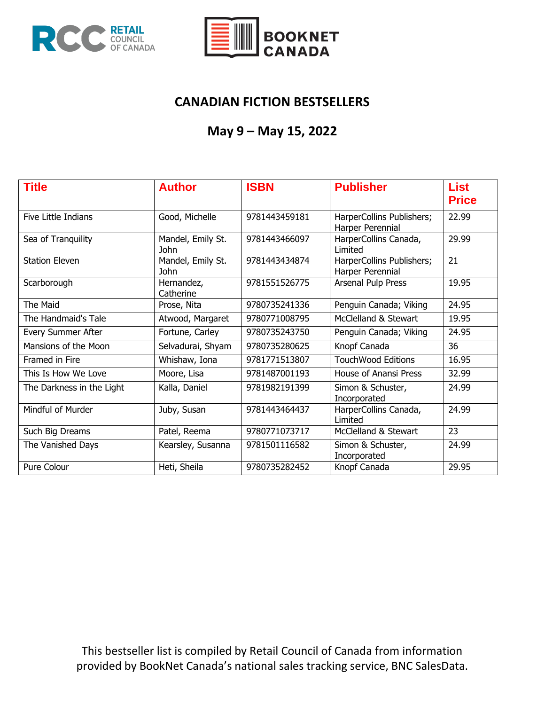



### **CANADIAN FICTION BESTSELLERS**

# **May 9 – May 15, 2022**

| <b>Title</b>              | <b>Author</b>                    | <b>ISBN</b>   | <b>Publisher</b>                              | <b>List</b><br><b>Price</b> |
|---------------------------|----------------------------------|---------------|-----------------------------------------------|-----------------------------|
| Five Little Indians       | Good, Michelle                   | 9781443459181 | HarperCollins Publishers;<br>Harper Perennial | 22.99                       |
| Sea of Tranquility        | Mandel, Emily St.<br><b>John</b> | 9781443466097 | HarperCollins Canada,<br>Limited              | 29.99                       |
| <b>Station Eleven</b>     | Mandel, Emily St.<br>John        | 9781443434874 | HarperCollins Publishers;<br>Harper Perennial | 21                          |
| Scarborough               | Hernandez,<br>Catherine          | 9781551526775 | Arsenal Pulp Press                            | 19.95                       |
| The Maid                  | Prose, Nita                      | 9780735241336 | Penguin Canada; Viking                        | 24.95                       |
| The Handmaid's Tale       | Atwood, Margaret                 | 9780771008795 | McClelland & Stewart                          | 19.95                       |
| Every Summer After        | Fortune, Carley                  | 9780735243750 | Penguin Canada; Viking                        | 24.95                       |
| Mansions of the Moon      | Selvadurai, Shyam                | 9780735280625 | Knopf Canada                                  | 36                          |
| Framed in Fire            | Whishaw, Iona                    | 9781771513807 | <b>TouchWood Editions</b>                     | 16.95                       |
| This Is How We Love       | Moore, Lisa                      | 9781487001193 | House of Anansi Press                         | 32.99                       |
| The Darkness in the Light | Kalla, Daniel                    | 9781982191399 | Simon & Schuster,<br>Incorporated             | 24.99                       |
| Mindful of Murder         | Juby, Susan                      | 9781443464437 | HarperCollins Canada,<br>Limited              | 24.99                       |
| Such Big Dreams           | Patel, Reema                     | 9780771073717 | McClelland & Stewart                          | 23                          |
| The Vanished Days         | Kearsley, Susanna                | 9781501116582 | Simon & Schuster,<br>Incorporated             | 24.99                       |
| Pure Colour               | Heti, Sheila                     | 9780735282452 | Knopf Canada                                  | 29.95                       |

This bestseller list is compiled by Retail Council of Canada from information provided by BookNet Canada's national sales tracking service, BNC SalesData.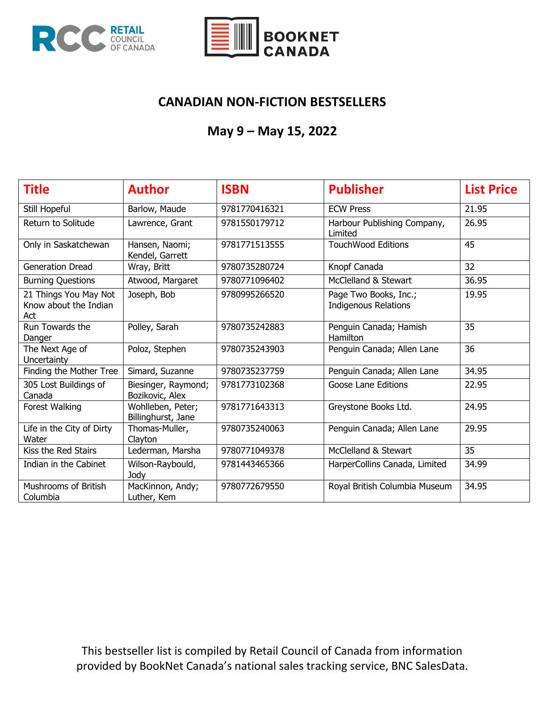



### **CANADIAN NON-FICTION BESTSELLERS**

### **May 9 – May 15, 2022**

| <b>Title</b>                                          | <b>Author</b>                           | <b>ISBN</b>   | <b>Publisher</b>                                     | <b>List Price</b> |
|-------------------------------------------------------|-----------------------------------------|---------------|------------------------------------------------------|-------------------|
| Still Hopeful                                         | Barlow, Maude                           | 9781770416321 | <b>ECW Press</b>                                     | 21.95             |
| Return to Solitude                                    | Lawrence, Grant                         | 9781550179712 | Harbour Publishing Company,<br>Limited               | 26.95             |
| Only in Saskatchewan                                  | Hansen, Naomi;<br>Kendel, Garrett       | 9781771513555 | <b>TouchWood Editions</b>                            | $\overline{45}$   |
| <b>Generation Dread</b>                               | Wray, Britt                             | 9780735280724 | Knopf Canada                                         | 32                |
| <b>Burning Questions</b>                              | Atwood, Margaret                        | 9780771096402 | McClelland & Stewart                                 | 36.95             |
| 21 Things You May Not<br>Know about the Indian<br>Act | Joseph, Bob                             | 9780995266520 | Page Two Books, Inc.;<br><b>Indigenous Relations</b> | 19.95             |
| Run Towards the<br>Danger                             | Polley, Sarah                           | 9780735242883 | Penguin Canada; Hamish<br>Hamilton                   | 35                |
| The Next Age of<br>Uncertainty                        | Poloz, Stephen                          | 9780735243903 | Penguin Canada; Allen Lane                           | 36                |
| Finding the Mother Tree                               | Simard, Suzanne                         | 9780735237759 | Penguin Canada; Allen Lane                           | 34.95             |
| 305 Lost Buildings of<br>Canada                       | Biesinger, Raymond;<br>Bozikovic, Alex  | 9781773102368 | Goose Lane Editions                                  | 22.95             |
| Forest Walking                                        | Wohlleben, Peter;<br>Billinghurst, Jane | 9781771643313 | Greystone Books Ltd.                                 | 24.95             |
| Life in the City of Dirty<br>Water                    | Thomas-Muller,<br>Clayton               | 9780735240063 | Penguin Canada; Allen Lane                           | 29.95             |
| Kiss the Red Stairs                                   | Lederman, Marsha                        | 9780771049378 | McClelland & Stewart                                 | 35                |
| Indian in the Cabinet                                 | Wilson-Raybould,<br>Jody                | 9781443465366 | HarperCollins Canada, Limited                        | 34.99             |
| <b>Mushrooms of British</b><br>Columbia               | MacKinnon, Andy;<br>Luther, Kem         | 9780772679550 | Royal British Columbia Museum                        | 34.95             |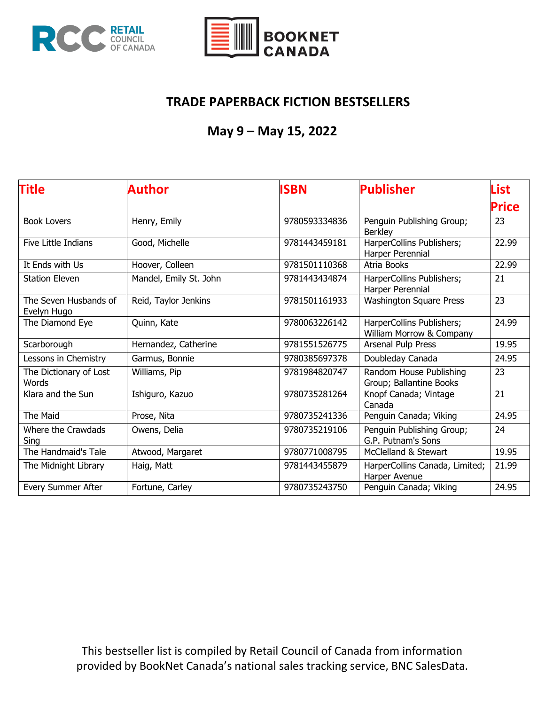



### **TRADE PAPERBACK FICTION BESTSELLERS**

# **May 9 – May 15, 2022**

| <b>Title</b>                         | Author                 | <b>ISBN</b>   | <b>Publisher</b>                                      | List         |
|--------------------------------------|------------------------|---------------|-------------------------------------------------------|--------------|
|                                      |                        |               |                                                       | <b>Price</b> |
| <b>Book Lovers</b>                   | Henry, Emily           | 9780593334836 | Penguin Publishing Group;<br><b>Berkley</b>           | 23           |
| Five Little Indians                  | Good, Michelle         | 9781443459181 | HarperCollins Publishers;<br>Harper Perennial         | 22.99        |
| It Ends with Us                      | Hoover, Colleen        | 9781501110368 | Atria Books                                           | 22.99        |
| <b>Station Eleven</b>                | Mandel, Emily St. John | 9781443434874 | HarperCollins Publishers;<br>Harper Perennial         | 21           |
| The Seven Husbands of<br>Evelyn Hugo | Reid, Taylor Jenkins   | 9781501161933 | <b>Washington Square Press</b>                        | 23           |
| The Diamond Eye                      | Quinn, Kate            | 9780063226142 | HarperCollins Publishers;<br>William Morrow & Company | 24.99        |
| Scarborough                          | Hernandez, Catherine   | 9781551526775 | Arsenal Pulp Press                                    | 19.95        |
| Lessons in Chemistry                 | Garmus, Bonnie         | 9780385697378 | Doubleday Canada                                      | 24.95        |
| The Dictionary of Lost<br>Words      | Williams, Pip          | 9781984820747 | Random House Publishing<br>Group; Ballantine Books    | 23           |
| Klara and the Sun                    | Ishiguro, Kazuo        | 9780735281264 | Knopf Canada; Vintage<br>Canada                       | 21           |
| The Maid                             | Prose, Nita            | 9780735241336 | Penguin Canada; Viking                                | 24.95        |
| Where the Crawdads<br>Sing           | Owens, Delia           | 9780735219106 | Penguin Publishing Group;<br>G.P. Putnam's Sons       | 24           |
| The Handmaid's Tale                  | Atwood, Margaret       | 9780771008795 | McClelland & Stewart                                  | 19.95        |
| The Midnight Library                 | Haig, Matt             | 9781443455879 | HarperCollins Canada, Limited;<br>Harper Avenue       | 21.99        |
| Every Summer After                   | Fortune, Carley        | 9780735243750 | Penguin Canada; Viking                                | 24.95        |

This bestseller list is compiled by Retail Council of Canada from information provided by BookNet Canada's national sales tracking service, BNC SalesData.